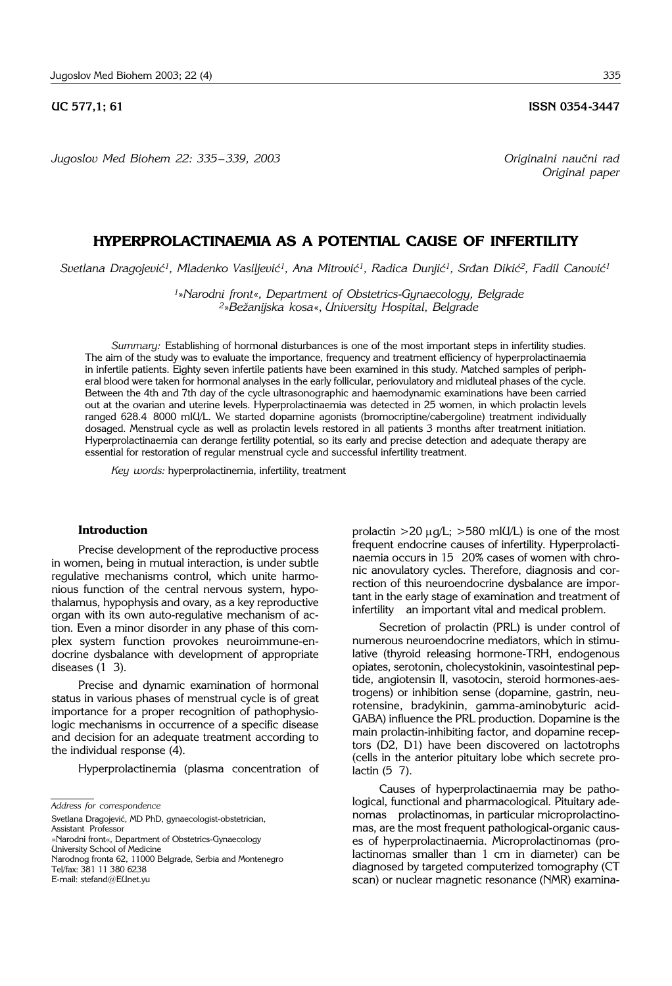*Jugoslov Med Biohem 22: 335*– *339, 2003 Originalni nau~ni rad*

**UC 577,1; 61 ISSN 0354-3447** 

*Original paper* 

# **HYPERPROLACTINAEMIA AS A POTENTIAL CAUSE OF INFERTILITY**

*Svetlana Dragojevi}1, Mladenko Vasiljevi}1, Ana Mitrovi}1, Radica Dunji}1, Sr|an Diki}2, Fadil Canovi}1*

*<sup>1</sup>*»*Narodni front*«*, Department of Obstetrics*-*Gynaecology, Belgrade <sup>2</sup>*»*Be`anijska kosa*«, *University Hospital, Belgrade*

*Summary:* Establishing of hormonal disturbances is one of the most important steps in infertility studies. The aim of the study was to evaluate the importance, frequency and treatment efficiency of hyperprolactinaemia in infertile patients. Eighty seven infertile patients have been examined in this study. Matched samples of peripheral blood were taken for hormonal analyses in the early follicular, periovulatory and midluteal phases of the cycle. Between the 4th and 7th day of the cycle ultrasonographic and haemodynamic examinations have been carried out at the ovarian and uterine levels. Hyperprolactinaemia was detected in 25 women, in which prolactin levels ranged 628.4 8000 mIU/L. We started dopamine agonists (bromocriptine/cabergoline) treatment individually dosaged. Menstrual cycle as well as prolactin levels restored in all patients 3 months after treatment initiation. Hyperprolactinaemia can derange fertility potential, so its early and precise detection and adequate therapy are essential for restoration of regular menstrual cycle and successful infertility treatment.

*Key words:* hyperprolactinemia, infertility, treatment

#### **Introduction**

Precise development of the reproductive process in women, being in mutual interaction, is under subtle regulative mechanisms control, which unite harmonious function of the central nervous system, hypothalamus, hypophysis and ovary, as a key reproductive organ with its own auto-regulative mechanism of action. Even a minor disorder in any phase of this complex system function provokes neuroimmune-endocrine dysbalance with development of appropriate diseases  $(1\ 3)$ .

Precise and dynamic examination of hormonal status in various phases of menstrual cycle is of great importance for a proper recognition of pathophysiologic mechanisms in occurrence of a specific disease and decision for an adequate treatment according to the individual response (4).

Hyperprolactinemia (plasma concentration of

Svetlana Dragojević, MD PhD, gynaecologist-obstetrician, Assistant Professor

Narodnog fronta 62, 11000 Belgrade, Serbia and Montenegro Tel/fax: 381 11 380 6238

E-mail: stefand@EUnet.yu

prolactin  $>20 \mu g/L$ ;  $>580 \mu g/L$ ) is one of the most frequent endocrine causes of infertility. Hyperprolactinaemia occurs in 15 20% cases of women with chronic anovulatory cycles. Therefore, diagnosis and correction of this neuroendocrine dysbalance are important in the early stage of examination and treatment of infertility an important vital and medical problem.

Secretion of prolactin (PRL) is under control of numerous neuroendocrine mediators, which in stimulative (thyroid releasing hormone-TRH, endogenous opiates, serotonin, cholecystokinin, vasointestinal peptide, angiotensin II, vasotocin, steroid hormones-aestrogens) or inhibition sense (dopamine, gastrin, neurotensine, bradykinin, gamma-aminobyturic acid-GABA) influence the PRL production. Dopamine is the main prolactin-inhibiting factor, and dopamine receptors (D2, D1) have been discovered on lactotrophs (cells in the anterior pituitary lobe which secrete prolactin  $(5\ 7)$ .

Causes of hyperprolactinaemia may be pathological, functional and pharmacological. Pituitary adenomas prolactinomas, in particular microprolactinomas, are the most frequent pathological-organic causes of hyperprolactinaemia. Microprolactinomas (prolactinomas smaller than 1 cm in diameter) can be diagnosed by targeted computerized tomography (CT scan) or nuclear magnetic resonance (NMR) examina-

*Address for correspondence*

<sup>»</sup>Narodni front«, Department of Obstetrics-Gynaecology University School of Medicine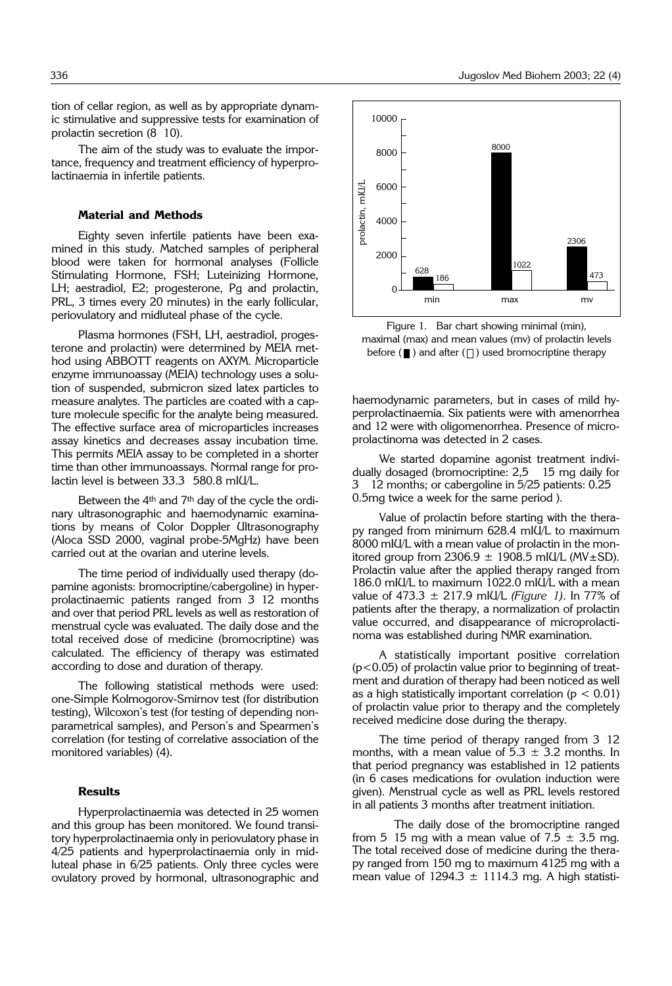tion of cellar region, as well as by appropriate dynamic stimulative and suppressive tests for examination of prolactin secretion (8 10).

The aim of the study was to evaluate the importance, frequency and treatment efficiency of hyperprolactinaemia in infertile patients.

#### **Material and Methods**

Eighty seven infertile patients have been examined in this study. Matched samples of peripheral blood were taken for hormonal analyses (Follicle Stimulating Hormone, FSH; Luteinizing Hormone, LH; aestradiol, E2; progesterone, Pg and prolactin, PRL, 3 times every 20 minutes) in the early follicular, periovulatory and midluteal phase of the cycle.

Plasma hormones (FSH, LH, aestradiol, progesterone and prolactin) were determined by MEIA method using ABBOTT reagents on AXYM. Microparticle enzyme immunoassay (MEIA) technology uses a solution of suspended, submicron sized latex particles to measure analytes. The particles are coated with a capture molecule specific for the analyte being measured. The effective surface area of microparticles increases assay kinetics and decreases assay incubation time. This permits MEIA assay to be completed in a shorter time than other immunoassays. Normal range for prolactin level is between 33.3 580.8 mIU/L.

Between the 4<sup>th</sup> and 7<sup>th</sup> day of the cycle the ordinary ultrasonographic and haemodynamic examinations by means of Color Doppler Ultrasonography (Aloca SSD 2000, vaginal probe-5MgHz) have been carried out at the ovarian and uterine levels.

The time period of individually used therapy (dopamine agonists: bromocriptine/cabergoline) in hyperprolactinaemic patients ranged from 3'12 months and over that period PRL levels as well as restoration of menstrual cycle was evaluated. The daily dose and the total received dose of medicine (bromocriptine) was calculated. The efficiency of therapy was estimated according to dose and duration of therapy.

The following statistical methods were used: one-Simple Kolmogorov-Smirnov test (for distribution testing), Wilcoxon's test (for testing of depending nonparametrical samples), and Person's and Spearmen's correlation (for testing of correlative association of the monitored variables) (4).

### **Results**

Hyperprolactinaemia was detected in 25 women and this group has been monitored. We found transitory hyperprolactinaemia only in periovulatory phase in 4/25 patients and hyperprolactinaemia only in midluteal phase in 6/25 patients. Only three cycles were ovulatory proved by hormonal, ultrasonographic and



Figure 1. Bar chart showing minimal (min), maximal (max) and mean values (mv) of prolactin levels before  $(\blacksquare)$  and after  $(\square)$  used bromocriptine therapy

haemodynamic parameters, but in cases of mild hyperprolactinaemia. Six patients were with amenorrhea and 12 were with oligomenorrhea. Presence of microprolactinoma was detected in 2 cases.

We started dopamine agonist treatment individually dosaged (bromocriptine: 2,5 ' 15 mg daily for 3 ' 12 months; or cabergoline in 5/25 patients: 0.25 ' 0.5mg twice a week for the same period ).

Value of prolactin before starting with the therapy ranged from minimum 628.4 mIU/L to maximum 8000 mIU/L with a mean value of prolactin in the monitored group from  $2306.9 \pm 1908.5$  mIU/L (MV $\pm$ SD). Prolactin value after the applied therapy ranged from 186.0 mIU/L to maximum 1022.0 mIU/L with a mean value of 473.3 ± 217.9 mIU/L *(Figure 1)*. In 77% of patients after the therapy, a normalization of prolactin value occurred, and disappearance of microprolactinoma was established during NMR examination.

A statistically important positive correlation (p<0.05) of prolactin value prior to beginning of treatment and duration of therapy had been noticed as well as a high statistically important correlation ( $p < 0.01$ ) of prolactin value prior to therapy and the completely received medicine dose during the therapy.

The time period of therapy ranged from 3 12 months, with a mean value of  $5.3 \pm 3.2$  months. In that period pregnancy was established in 12 patients (in 6 cases medications for ovulation induction were given). Menstrual cycle as well as PRL levels restored in all patients 3 months after treatment initiation.

The daily dose of the bromocriptine ranged from 5 15 mg with a mean value of  $7.5 \pm 3.5$  mg. The total received dose of medicine during the therapy ranged from 150 mg to maximum 4125 mg with a mean value of  $1294.3 \pm 1114.3$  mg. A high statisti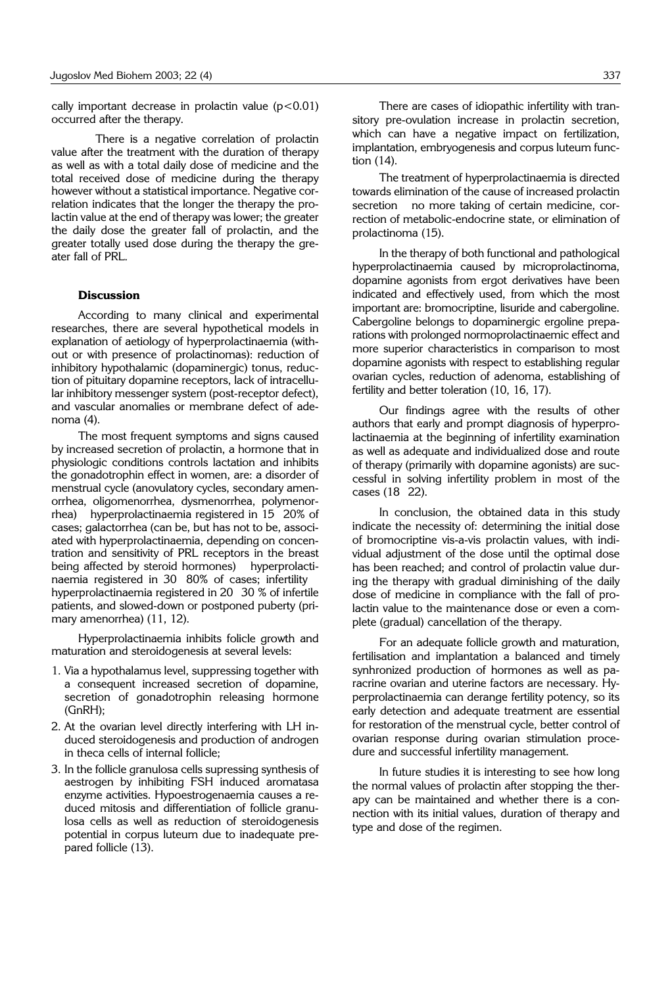cally important decrease in prolactin value  $(p<0.01)$ occurred after the therapy.

There is a negative correlation of prolactin value after the treatment with the duration of therapy as well as with a total daily dose of medicine and the total received dose of medicine during the therapy however without a statistical importance. Negative correlation indicates that the longer the therapy the prolactin value at the end of therapy was lower; the greater the daily dose the greater fall of prolactin, and the greater totally used dose during the therapy the greater fall of PRL.

## **Discussion**

According to many clinical and experimental researches, there are several hypothetical models in explanation of aetiology of hyperprolactinaemia (without or with presence of prolactinomas): reduction of inhibitory hypothalamic (dopaminergic) tonus, reduction of pituitary dopamine receptors, lack of intracellular inhibitory messenger system (post-receptor defect), and vascular anomalies or membrane defect of adenoma (4).

The most frequent symptoms and signs caused by increased secretion of prolactin, a hormone that in physiologic conditions controls lactation and inhibits the gonadotrophin effect in women, are: a disorder of menstrual cycle (anovulatory cycles, secondary amenorrhea, oligomenorrhea, dysmenorrhea, polymenorrhea) hyperprolactinaemia registered in 15 20% of cases; galactorrhea (can be, but has not to be, associated with hyperprolactinaemia, depending on concentration and sensitivity of PRL receptors in the breast being affected by steroid hormones) hyperprolactinaemia registered in 30 80% of cases; infertility hyperprolactinaemia registered in 20 30 % of infertile patients, and slowed-down or postponed puberty (primary amenorrhea) (11, 12).

Hyperprolactinaemia inhibits folicle growth and maturation and steroidogenesis at several levels:

- 1. Via a hypothalamus level, suppressing together with a consequent increased secretion of dopamine, secretion of gonadotrophin releasing hormone (GnRH);
- 2. At the ovarian level directly interfering with LH induced steroidogenesis and production of androgen in theca cells of internal follicle;
- 3. In the follicle granulosa cells supressing synthesis of aestrogen by inhibiting FSH induced aromatasa enzyme activities. Hypoestrogenaemia causes a reduced mitosis and differentiation of follicle granulosa cells as well as reduction of steroidogenesis potential in corpus luteum due to inadequate prepared follicle (13).

There are cases of idiopathic infertility with transitory pre-ovulation increase in prolactin secretion, which can have a negative impact on fertilization, implantation, embryogenesis and corpus luteum function (14).

The treatment of hyperprolactinaemia is directed towards elimination of the cause of increased prolactin secretion no more taking of certain medicine, correction of metabolic-endocrine state, or elimination of prolactinoma (15).

In the therapy of both functional and pathological hyperprolactinaemia caused by microprolactinoma, dopamine agonists from ergot derivatives have been indicated and effectively used, from which the most important are: bromocriptine, lisuride and cabergoline. Cabergoline belongs to dopaminergic ergoline preparations with prolonged normoprolactinaemic effect and more superior characteristics in comparison to most dopamine agonists with respect to establishing regular ovarian cycles, reduction of adenoma, establishing of fertility and better toleration (10, 16, 17).

Our findings agree with the results of other authors that early and prompt diagnosis of hyperprolactinaemia at the beginning of infertility examination as well as adequate and individualized dose and route of therapy (primarily with dopamine agonists) are successful in solving infertility problem in most of the cases (18 22).

In conclusion, the obtained data in this study indicate the necessity of: determining the initial dose of bromocriptine vis-a-vis prolactin values, with individual adjustment of the dose until the optimal dose has been reached; and control of prolactin value during the therapy with gradual diminishing of the daily dose of medicine in compliance with the fall of prolactin value to the maintenance dose or even a complete (gradual) cancellation of the therapy.

For an adequate follicle growth and maturation, fertilisation and implantation a balanced and timely synhronized production of hormones as well as paracrine ovarian and uterine factors are necessary. Hyperprolactinaemia can derange fertility potency, so its early detection and adequate treatment are essential for restoration of the menstrual cycle, better control of ovarian response during ovarian stimulation procedure and successful infertility management.

In future studies it is interesting to see how long the normal values of prolactin after stopping the therapy can be maintained and whether there is a connection with its initial values, duration of therapy and type and dose of the regimen.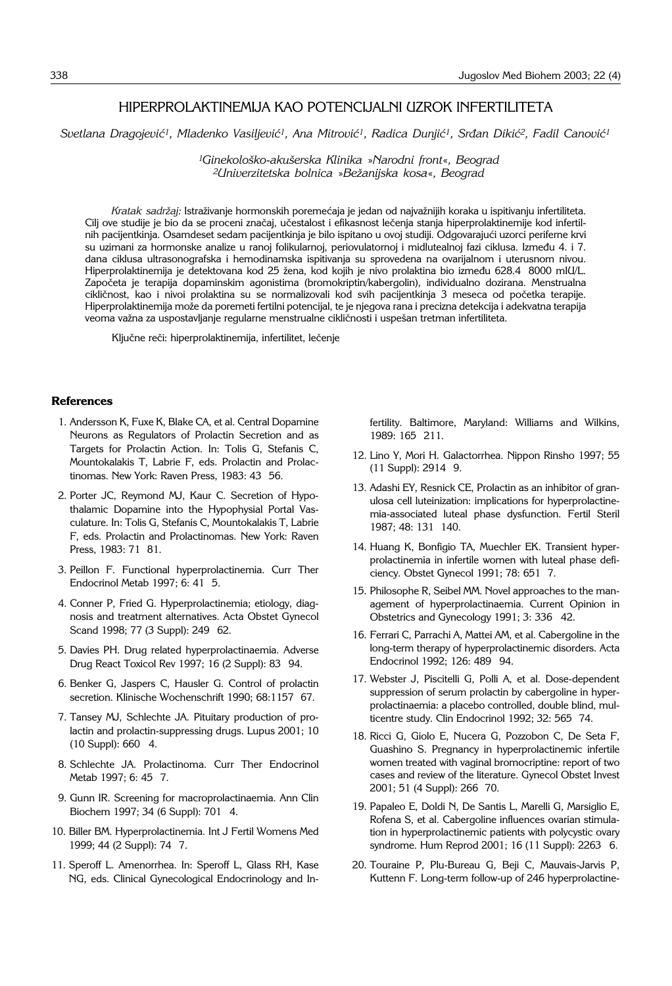# HIPERPROLAKTINEMIJA KAO POTENCIJALNI UZROK INFERTILITETA

Svetlana Dragojević<sup>1</sup>, Mladenko Vasiljević<sup>1</sup>, Ana Mitrović<sup>1</sup>, Radica Dunjić<sup>1</sup>, Srđan Dikić<sup>2</sup>, Fadil Canović<sup>1</sup>

*1Ginekolo{ko*-*aku{erska Klinika* »*Narodni front*«*, Beograd 2Univerzitetska bolnica* »*Be`anijska kosa*«*, Beograd*

Kratak sadržaj: Istraživanje hormonskih poremećaja je jedan od najvažnijih koraka u ispitivanju infertiliteta. Cilj ove studije je bio da se proceni značaj, učestalost i efikasnost lečenja stanja hiperprolaktinemije kod infertilnih pacijentkinja. Osamdeset sedam pacijentkinja je bilo ispitano u ovoj studiji. Odgovarajući uzorci periferne krvi su uzimani za hormonske analize u ranoj folikularnoj, periovulatornoj i midlutealnoj fazi ciklusa. Između 4. i 7. dana ciklusa ultrasonografska i hemodinamska ispitivanja su sprovedena na ovarijalnom i uterusnom nivou. Hiperprolaktinemija je detektovana kod 25 žena, kod kojih je nivo prolaktina bio između 628.4 8000 mIU/L. Započeta je terapija dopaminskim agonistima (bromokriptin/kabergolin), individualno dozirana. Menstrualna cikličnost, kao i nivoi prolaktina su se normalizovali kod svih pacijentkinja 3 meseca od početka terapije. Hiperprolaktinemija može da poremeti fertilni potencijal, te je njegova rana i precizna detekcija i adekvatna terapija veoma važna za uspostavljanje regularne menstrualne cikličnosti i uspešan tretman infertiliteta.

Ključne reči: hiperprolaktinemija, infertilitet, lečenje

## **References**

- 1. Andersson K, Fuxe K, Blake CA, et al. Central Dopamine Neurons as Regulators of Prolactin Secretion and as Targets for Prolactin Action. In: Tolis G, Stefanis C, Mountokalakis T, Labrie F, eds. Prolactin and Prolactinomas. New York: Raven Press, 1983: 43 56.
- 2. Porter JC, Reymond MJ, Kaur C. Secretion of Hypothalamic Dopamine into the Hypophysial Portal Vasculature. In: Tolis G, Stefanis C, Mountokalakis T, Labrie F, eds. Prolactin and Prolactinomas. New York: Raven Press, 1983: 71 81.
- 3. Peillon F. Functional hyperprolactinemia. Curr Ther Endocrinol Metab 1997; 6: 41 5.
- 4. Conner P, Fried G. Hyperprolactinemia; etiology, diagnosis and treatment alternatives. Acta Obstet Gynecol Scand 1998; 77 (3 Suppl): 249 62.
- 5. Davies PH. Drug related hyperprolactinaemia. Adverse Drug React Toxicol Rev 1997; 16 (2 Suppl): 83 '94.
- 6. Benker G, Jaspers C, Hausler G. Control of prolactin secretion. Klinische Wochenschrift 1990; 68:1157 67.
- 7. Tansey MJ, Schlechte JA. Pituitary production of prolactin and prolactin-suppressing drugs. Lupus 2001; 10 (10 Suppl): 660 4.
- 8. Schlechte JA. Prolactinoma. Curr Ther Endocrinol Metab 1997; 6: 45 7.
- 9. Gunn IR. Screening for macroprolactinaemia. Ann Clin Biochem 1997; 34 (6 Suppl): 701 4.
- 10. Biller BM. Hyperprolactinemia. Int J Fertil Womens Med 1999; 44 (2 Suppl): 74 7.
- 11. Speroff L. Amenorrhea. In: Speroff L, Glass RH, Kase NG, eds. Clinical Gynecological Endocrinology and In-

fertility. Baltimore, Maryland: Williams and Wilkins, 1989: 165 211.

- 12. Lino Y, Mori H. Galactorrhea. Nippon Rinsho 1997; 55 (11 Suppl): 2914 '9.
- 13. Adashi EY, Resnick CE, Prolactin as an inhibitor of granulosa cell luteinization: implications for hyperprolactinemia-associated luteal phase dysfunction. Fertil Steril 1987; 48: 131 140.
- 14. Huang K, Bonfigio TA, Muechler EK. Transient hyperprolactinemia in infertile women with luteal phase deficiency. Obstet Gynecol 1991; 78: 651' 7.
- 15. Philosophe R, Seibel MM. Novel approaches to the management of hyperprolactinaemia. Current Opinion in Obstetrics and Gynecology 1991; 3: 336 42.
- 16. Ferrari C, Parrachi A, Mattei AM, et al. Cabergoline in the long-term therapy of hyperprolactinemic disorders. Acta Endocrinol 1992: 126: 489 94.
- 17. Webster J, Piscitelli G, Polli A, et al. Dose-dependent suppression of serum prolactin by cabergoline in hyperprolactinaemia: a placebo controlled, double blind, multicentre study. Clin Endocrinol 1992; 32: 565 74.
- 18. Ricci G, Giolo E, Nucera G, Pozzobon C, De Seta F, Guashino S. Pregnancy in hyperprolactinemic infertile women treated with vaginal bromocriptine: report of two cases and review of the literature. Gynecol Obstet Invest 2001; 51 (4 Suppl): 266 70.
- 19. Papaleo E, Doldi N, De Santis L, Marelli G, Marsiglio E, Rofena S, et al. Cabergoline influences ovarian stimulation in hyperprolactinemic patients with polycystic ovary syndrome. Hum Reprod 2001; 16 (11 Suppl): 2263 6.
- 20. Touraine P, Plu-Bureau G, Beji C, Mauvais-Jarvis P, Kuttenn F. Long-term follow-up of 246 hyperprolactine-